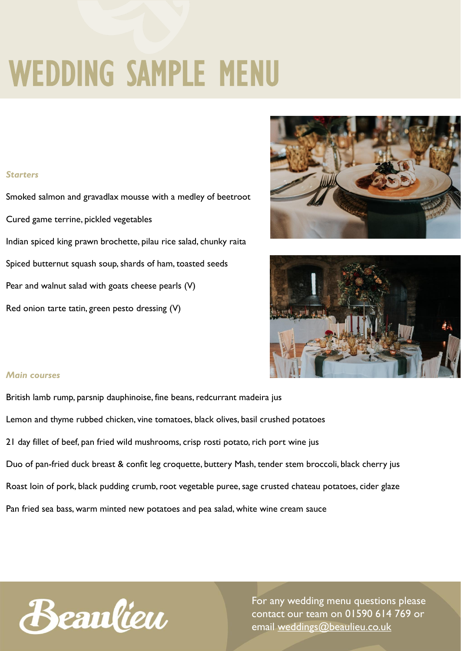# WEDDING SAMPLE MENU

#### *Starters*

Smoked salmon and gravadlax mousse with a medley of beetroot Cured game terrine, pickled vegetables Indian spiced king prawn brochette, pilau rice salad, chunky raita Spiced butternut squash soup, shards of ham, toasted seeds Pear and walnut salad with goats cheese pearls (V) Red onion tarte tatin, green pesto dressing (V)





#### *Main courses*

British lamb rump, parsnip dauphinoise, fine beans, redcurrant madeira jus Lemon and thyme rubbed chicken, vine tomatoes, black olives, basil crushed potatoes 21 day fillet of beef, pan fried wild mushrooms, crisp rosti potato, rich port wine jus Duo of pan-fried duck breast & confit leg croquette, buttery Mash, tender stem broccoli, black cherry jus Roast loin of pork, black pudding crumb, root vegetable puree, sage crusted chateau potatoes, cider glaze Pan fried sea bass, warm minted new potatoes and pea salad, white wine cream sauce



For any wedding menu questions please contact our team on 01590 614 769 or email [weddings@beaulieu.co.uk](mailto:weddings@beaulieu.co.uk)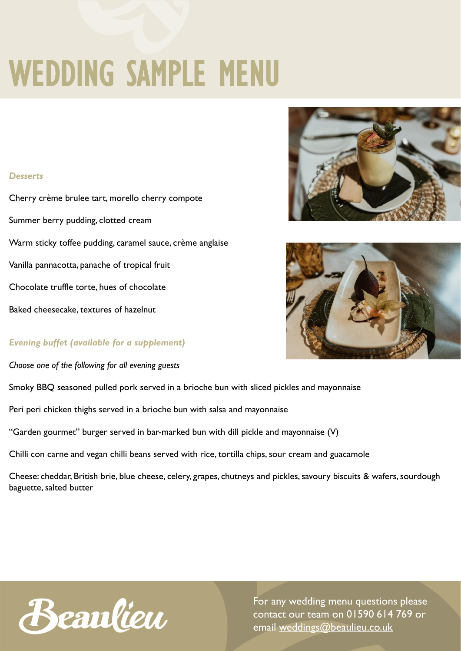# WEDDING SAMPLE MENU

#### *Desserts*

Cherry crème brulee tart, morello cherry compote Summer berry pudding, clotted cream Warm sticky toffee pudding, caramel sauce, crème anglaise Vanilla pannacotta, panache of tropical fruit Chocolate truffle torte, hues of chocolate Baked cheesecake, textures of hazelnut





#### *Evening buffet (available for a supplement)*

*Choose one of the following for all evening guests*

Smoky BBQ seasoned pulled pork served in a brioche bun with sliced pickles and mayonnaise

Peri peri chicken thighs served in a brioche bun with salsa and mayonnaise

"Garden gourmet" burger served in bar-marked bun with dill pickle and mayonnaise (V)

Chilli con carne and vegan chilli beans served with rice, tortilla chips, sour cream and guacamole

Cheese: cheddar, British brie, blue cheese, celery, grapes, chutneys and pickles, savoury biscuits & wafers, sourdough baguette, salted butter

Beaulieu

For any wedding menu questions please contact our team on 01590 614 769 or email [weddings@beaulieu.co.uk](mailto:weddings@beaulieu.co.uk)